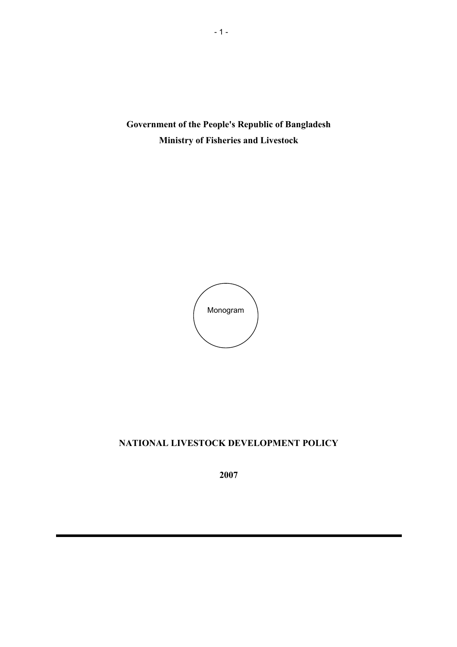**Government of the People's Republic of Bangladesh Ministry of Fisheries and Livestock** 



# **NATIONAL LIVESTOCK DEVELOPMENT POLICY**

**2007**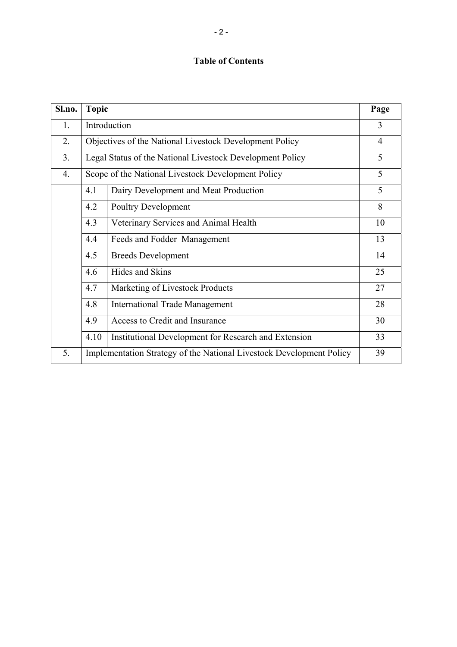# **Table of Contents**

| Sl.no.         | <b>Topic</b>                                                         |                                                      | Page           |
|----------------|----------------------------------------------------------------------|------------------------------------------------------|----------------|
| 1.             | Introduction                                                         |                                                      | 3              |
| 2.             | Objectives of the National Livestock Development Policy              |                                                      | $\overline{4}$ |
| 3 <sub>1</sub> | Legal Status of the National Livestock Development Policy            |                                                      | 5              |
| 4.             | Scope of the National Livestock Development Policy                   |                                                      | 5              |
|                | 4.1                                                                  | Dairy Development and Meat Production                | 5              |
|                | 4.2                                                                  | <b>Poultry Development</b>                           | 8              |
|                | 4.3                                                                  | Veterinary Services and Animal Health                | 10             |
|                | 4.4                                                                  | Feeds and Fodder Management                          | 13             |
|                | 4.5                                                                  | <b>Breeds Development</b>                            | 14             |
|                | 4.6                                                                  | Hides and Skins                                      | 25             |
|                | 4.7                                                                  | Marketing of Livestock Products                      | 27             |
|                | 4.8                                                                  | <b>International Trade Management</b>                | 28             |
|                | 4.9                                                                  | Access to Credit and Insurance                       | 30             |
|                | 4.10                                                                 | Institutional Development for Research and Extension | 33             |
| 5.             | Implementation Strategy of the National Livestock Development Policy |                                                      | 39             |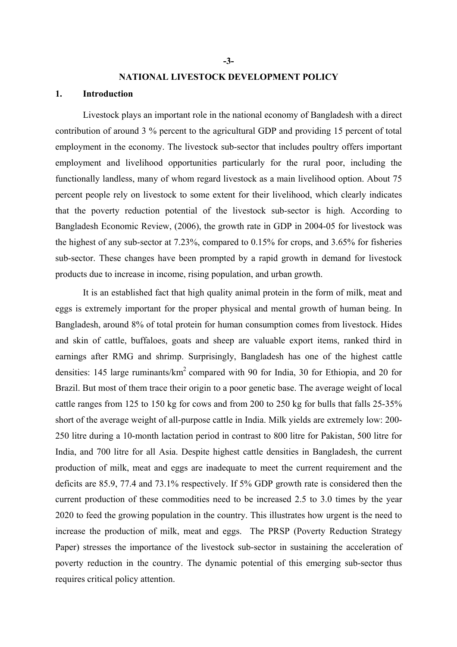#### **NATIONAL LIVESTOCK DEVELOPMENT POLICY**

#### **1. Introduction**

Livestock plays an important role in the national economy of Bangladesh with a direct contribution of around 3 % percent to the agricultural GDP and providing 15 percent of total employment in the economy. The livestock sub-sector that includes poultry offers important employment and livelihood opportunities particularly for the rural poor, including the functionally landless, many of whom regard livestock as a main livelihood option. About 75 percent people rely on livestock to some extent for their livelihood, which clearly indicates that the poverty reduction potential of the livestock sub-sector is high. According to Bangladesh Economic Review, (2006), the growth rate in GDP in 2004-05 for livestock was the highest of any sub-sector at 7.23%, compared to 0.15% for crops, and 3.65% for fisheries sub-sector. These changes have been prompted by a rapid growth in demand for livestock products due to increase in income, rising population, and urban growth.

It is an established fact that high quality animal protein in the form of milk, meat and eggs is extremely important for the proper physical and mental growth of human being. In Bangladesh, around 8% of total protein for human consumption comes from livestock. Hides and skin of cattle, buffaloes, goats and sheep are valuable export items, ranked third in earnings after RMG and shrimp. Surprisingly, Bangladesh has one of the highest cattle densities: 145 large ruminants/ $km^2$  compared with 90 for India, 30 for Ethiopia, and 20 for Brazil. But most of them trace their origin to a poor genetic base. The average weight of local cattle ranges from 125 to 150 kg for cows and from 200 to 250 kg for bulls that falls 25-35% short of the average weight of all-purpose cattle in India. Milk yields are extremely low: 200- 250 litre during a 10-month lactation period in contrast to 800 litre for Pakistan, 500 litre for India, and 700 litre for all Asia. Despite highest cattle densities in Bangladesh, the current production of milk, meat and eggs are inadequate to meet the current requirement and the deficits are 85.9, 77.4 and 73.1% respectively. If 5% GDP growth rate is considered then the current production of these commodities need to be increased 2.5 to 3.0 times by the year 2020 to feed the growing population in the country. This illustrates how urgent is the need to increase the production of milk, meat and eggs. The PRSP (Poverty Reduction Strategy Paper) stresses the importance of the livestock sub-sector in sustaining the acceleration of poverty reduction in the country. The dynamic potential of this emerging sub-sector thus requires critical policy attention.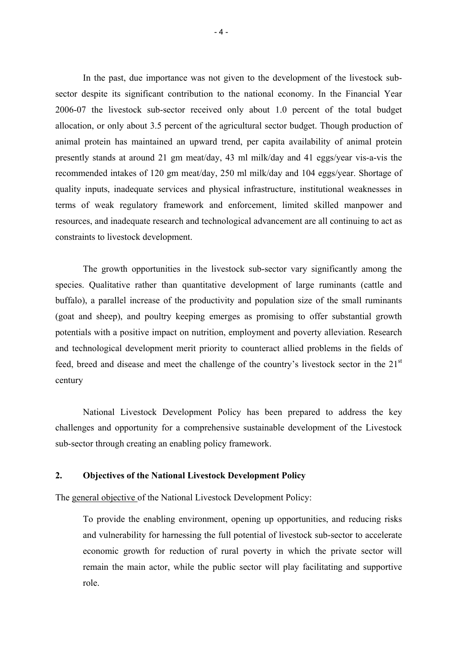In the past, due importance was not given to the development of the livestock subsector despite its significant contribution to the national economy. In the Financial Year 2006-07 the livestock sub-sector received only about 1.0 percent of the total budget allocation, or only about 3.5 percent of the agricultural sector budget. Though production of animal protein has maintained an upward trend, per capita availability of animal protein presently stands at around 21 gm meat/day, 43 ml milk/day and 41 eggs/year vis-a-vis the recommended intakes of 120 gm meat/day, 250 ml milk/day and 104 eggs/year. Shortage of quality inputs, inadequate services and physical infrastructure, institutional weaknesses in terms of weak regulatory framework and enforcement, limited skilled manpower and resources, and inadequate research and technological advancement are all continuing to act as constraints to livestock development.

The growth opportunities in the livestock sub-sector vary significantly among the species. Qualitative rather than quantitative development of large ruminants (cattle and buffalo), a parallel increase of the productivity and population size of the small ruminants (goat and sheep), and poultry keeping emerges as promising to offer substantial growth potentials with a positive impact on nutrition, employment and poverty alleviation. Research and technological development merit priority to counteract allied problems in the fields of feed, breed and disease and meet the challenge of the country's livestock sector in the 21st century

National Livestock Development Policy has been prepared to address the key challenges and opportunity for a comprehensive sustainable development of the Livestock sub-sector through creating an enabling policy framework.

#### **2. Objectives of the National Livestock Development Policy**

The general objective of the National Livestock Development Policy:

To provide the enabling environment, opening up opportunities, and reducing risks and vulnerability for harnessing the full potential of livestock sub-sector to accelerate economic growth for reduction of rural poverty in which the private sector will remain the main actor, while the public sector will play facilitating and supportive role.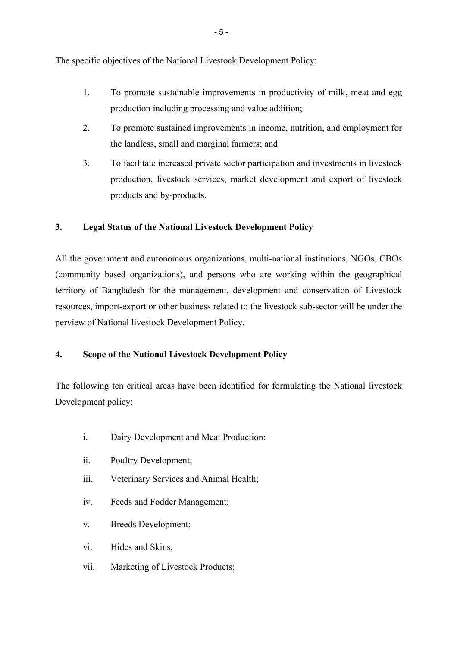The specific objectives of the National Livestock Development Policy:

- 1. To promote sustainable improvements in productivity of milk, meat and egg production including processing and value addition;
- 2. To promote sustained improvements in income, nutrition, and employment for the landless, small and marginal farmers; and
- 3. To facilitate increased private sector participation and investments in livestock production, livestock services, market development and export of livestock products and by-products.

# **3. Legal Status of the National Livestock Development Policy**

All the government and autonomous organizations, multi-national institutions, NGOs, CBOs (community based organizations), and persons who are working within the geographical territory of Bangladesh for the management, development and conservation of Livestock resources, import-export or other business related to the livestock sub-sector will be under the perview of National livestock Development Policy.

# **4. Scope of the National Livestock Development Policy**

The following ten critical areas have been identified for formulating the National livestock Development policy:

- i. Dairy Development and Meat Production:
- ii. Poultry Development;
- iii. Veterinary Services and Animal Health;
- iv. Feeds and Fodder Management;
- v. Breeds Development;
- vi. Hides and Skins;
- vii. Marketing of Livestock Products;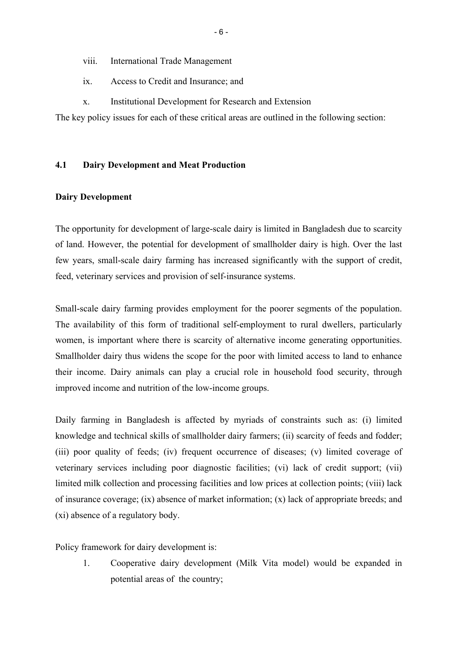- viii. International Trade Management
- ix. Access to Credit and Insurance; and
- x. Institutional Development for Research and Extension

The key policy issues for each of these critical areas are outlined in the following section:

### **4.1 Dairy Development and Meat Production**

#### **Dairy Development**

The opportunity for development of large-scale dairy is limited in Bangladesh due to scarcity of land. However, the potential for development of smallholder dairy is high. Over the last few years, small-scale dairy farming has increased significantly with the support of credit, feed, veterinary services and provision of self-insurance systems.

Small-scale dairy farming provides employment for the poorer segments of the population. The availability of this form of traditional self-employment to rural dwellers, particularly women, is important where there is scarcity of alternative income generating opportunities. Smallholder dairy thus widens the scope for the poor with limited access to land to enhance their income. Dairy animals can play a crucial role in household food security, through improved income and nutrition of the low-income groups.

Daily farming in Bangladesh is affected by myriads of constraints such as: (i) limited knowledge and technical skills of smallholder dairy farmers; (ii) scarcity of feeds and fodder; (iii) poor quality of feeds; (iv) frequent occurrence of diseases; (v) limited coverage of veterinary services including poor diagnostic facilities; (vi) lack of credit support; (vii) limited milk collection and processing facilities and low prices at collection points; (viii) lack of insurance coverage; (ix) absence of market information; (x) lack of appropriate breeds; and (xi) absence of a regulatory body.

Policy framework for dairy development is:

1. Cooperative dairy development (Milk Vita model) would be expanded in potential areas of the country;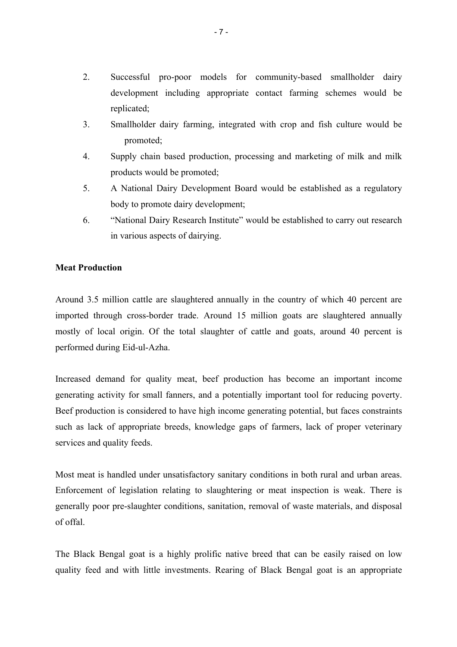- 2. Successful pro-poor models for community-based smallholder dairy development including appropriate contact farming schemes would be replicated;
- 3. Smallholder dairy farming, integrated with crop and fish culture would be promoted;
- 4. Supply chain based production, processing and marketing of milk and milk products would be promoted;
- 5. A National Dairy Development Board would be established as a regulatory body to promote dairy development;
- 6. "National Dairy Research Institute" would be established to carry out research in various aspects of dairying.

### **Meat Production**

Around 3.5 million cattle are slaughtered annually in the country of which 40 percent are imported through cross-border trade. Around 15 million goats are slaughtered annually mostly of local origin. Of the total slaughter of cattle and goats, around 40 percent is performed during Eid-ul-Azha.

Increased demand for quality meat, beef production has become an important income generating activity for small fanners, and a potentially important tool for reducing poverty. Beef production is considered to have high income generating potential, but faces constraints such as lack of appropriate breeds, knowledge gaps of farmers, lack of proper veterinary services and quality feeds.

Most meat is handled under unsatisfactory sanitary conditions in both rural and urban areas. Enforcement of legislation relating to slaughtering or meat inspection is weak. There is generally poor pre-slaughter conditions, sanitation, removal of waste materials, and disposal of offal.

The Black Bengal goat is a highly prolific native breed that can be easily raised on low quality feed and with little investments. Rearing of Black Bengal goat is an appropriate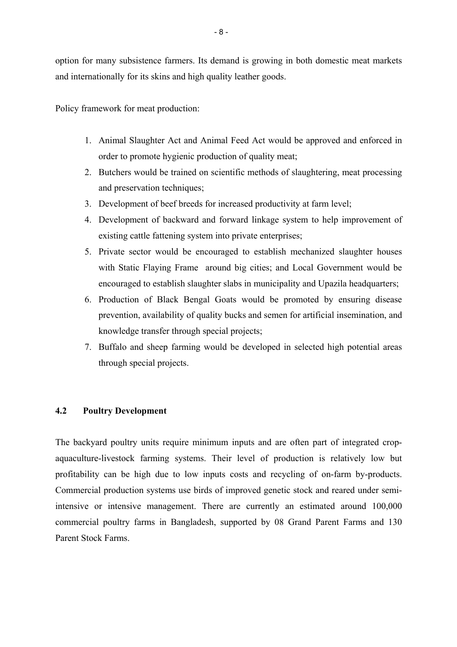option for many subsistence farmers. Its demand is growing in both domestic meat markets and internationally for its skins and high quality leather goods.

Policy framework for meat production:

- 1. Animal Slaughter Act and Animal Feed Act would be approved and enforced in order to promote hygienic production of quality meat;
- 2. Butchers would be trained on scientific methods of slaughtering, meat processing and preservation techniques;
- 3. Development of beef breeds for increased productivity at farm level;
- 4. Development of backward and forward linkage system to help improvement of existing cattle fattening system into private enterprises;
- 5. Private sector would be encouraged to establish mechanized slaughter houses with Static Flaying Frame around big cities; and Local Government would be encouraged to establish slaughter slabs in municipality and Upazila headquarters;
- 6. Production of Black Bengal Goats would be promoted by ensuring disease prevention, availability of quality bucks and semen for artificial insemination, and knowledge transfer through special projects;
- 7. Buffalo and sheep farming would be developed in selected high potential areas through special projects.

### **4.2 Poultry Development**

The backyard poultry units require minimum inputs and are often part of integrated cropaquaculture-livestock farming systems. Their level of production is relatively low but profitability can be high due to low inputs costs and recycling of on-farm by-products. Commercial production systems use birds of improved genetic stock and reared under semiintensive or intensive management. There are currently an estimated around 100,000 commercial poultry farms in Bangladesh, supported by 08 Grand Parent Farms and 130 Parent Stock Farms.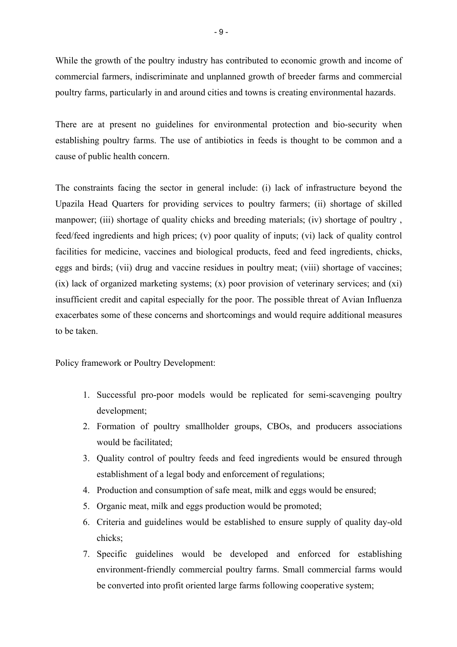While the growth of the poultry industry has contributed to economic growth and income of commercial farmers, indiscriminate and unplanned growth of breeder farms and commercial poultry farms, particularly in and around cities and towns is creating environmental hazards.

There are at present no guidelines for environmental protection and bio-security when establishing poultry farms. The use of antibiotics in feeds is thought to be common and a cause of public health concern.

The constraints facing the sector in general include: (i) lack of infrastructure beyond the Upazila Head Quarters for providing services to poultry farmers; (ii) shortage of skilled manpower; (iii) shortage of quality chicks and breeding materials; (iv) shortage of poultry, feed/feed ingredients and high prices; (v) poor quality of inputs; (vi) lack of quality control facilities for medicine, vaccines and biological products, feed and feed ingredients, chicks, eggs and birds; (vii) drug and vaccine residues in poultry meat; (viii) shortage of vaccines; (ix) lack of organized marketing systems; (x) poor provision of veterinary services; and (xi) insufficient credit and capital especially for the poor. The possible threat of Avian Influenza exacerbates some of these concerns and shortcomings and would require additional measures to be taken.

Policy framework or Poultry Development:

- 1. Successful pro-poor models would be replicated for semi-scavenging poultry development;
- 2. Formation of poultry smallholder groups, CBOs, and producers associations would be facilitated:
- 3. Quality control of poultry feeds and feed ingredients would be ensured through establishment of a legal body and enforcement of regulations;
- 4. Production and consumption of safe meat, milk and eggs would be ensured;
- 5. Organic meat, milk and eggs production would be promoted;
- 6. Criteria and guidelines would be established to ensure supply of quality day-old chicks;
- 7. Specific guidelines would be developed and enforced for establishing environment-friendly commercial poultry farms. Small commercial farms would be converted into profit oriented large farms following cooperative system;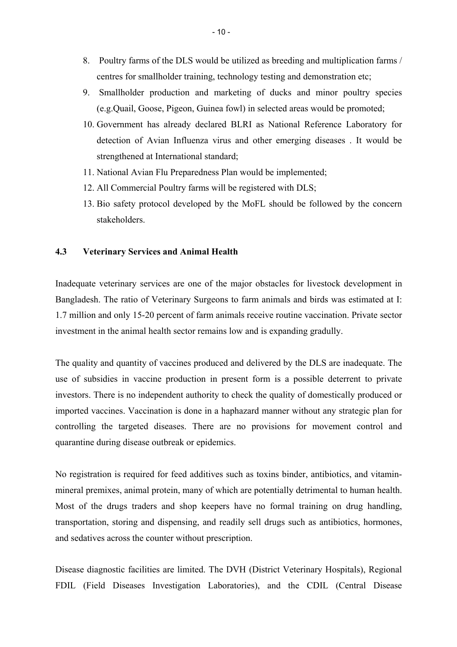- 8. Poultry farms of the DLS would be utilized as breeding and multiplication farms / centres for smallholder training, technology testing and demonstration etc;
- 9. Smallholder production and marketing of ducks and minor poultry species (e.g.Quail, Goose, Pigeon, Guinea fowl) in selected areas would be promoted;
- 10. Government has already declared BLRI as National Reference Laboratory for detection of Avian Influenza virus and other emerging diseases . It would be strengthened at International standard;
- 11. National Avian Flu Preparedness Plan would be implemented;
- 12. All Commercial Poultry farms will be registered with DLS;
- 13. Bio safety protocol developed by the MoFL should be followed by the concern stakeholders.

#### **4.3 Veterinary Services and Animal Health**

Inadequate veterinary services are one of the major obstacles for livestock development in Bangladesh. The ratio of Veterinary Surgeons to farm animals and birds was estimated at I: 1.7 million and only 15-20 percent of farm animals receive routine vaccination. Private sector investment in the animal health sector remains low and is expanding gradully.

The quality and quantity of vaccines produced and delivered by the DLS are inadequate. The use of subsidies in vaccine production in present form is a possible deterrent to private investors. There is no independent authority to check the quality of domestically produced or imported vaccines. Vaccination is done in a haphazard manner without any strategic plan for controlling the targeted diseases. There are no provisions for movement control and quarantine during disease outbreak or epidemics.

No registration is required for feed additives such as toxins binder, antibiotics, and vitaminmineral premixes, animal protein, many of which are potentially detrimental to human health. Most of the drugs traders and shop keepers have no formal training on drug handling, transportation, storing and dispensing, and readily sell drugs such as antibiotics, hormones, and sedatives across the counter without prescription.

Disease diagnostic facilities are limited. The DVH (District Veterinary Hospitals), Regional FDIL (Field Diseases Investigation Laboratories), and the CDIL (Central Disease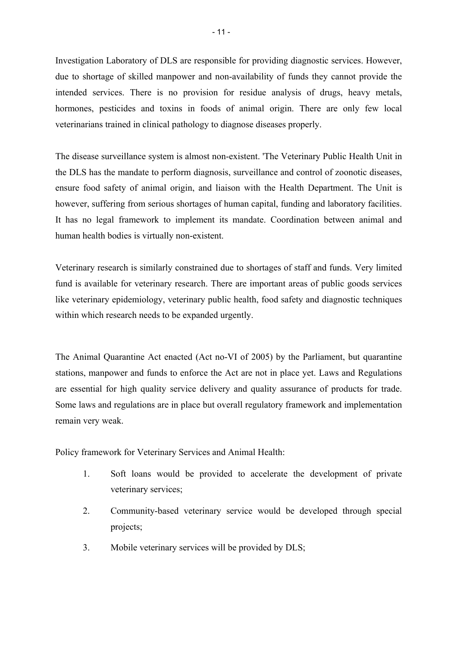Investigation Laboratory of DLS are responsible for providing diagnostic services. However, due to shortage of skilled manpower and non-availability of funds they cannot provide the intended services. There is no provision for residue analysis of drugs, heavy metals, hormones, pesticides and toxins in foods of animal origin. There are only few local veterinarians trained in clinical pathology to diagnose diseases properly.

The disease surveillance system is almost non-existent. 'The Veterinary Public Health Unit in the DLS has the mandate to perform diagnosis, surveillance and control of zoonotic diseases, ensure food safety of animal origin, and liaison with the Health Department. The Unit is however, suffering from serious shortages of human capital, funding and laboratory facilities. It has no legal framework to implement its mandate. Coordination between animal and human health bodies is virtually non-existent.

Veterinary research is similarly constrained due to shortages of staff and funds. Very limited fund is available for veterinary research. There are important areas of public goods services like veterinary epidemiology, veterinary public health, food safety and diagnostic techniques within which research needs to be expanded urgently.

The Animal Quarantine Act enacted (Act no-VI of 2005) by the Parliament, but quarantine stations, manpower and funds to enforce the Act are not in place yet. Laws and Regulations are essential for high quality service delivery and quality assurance of products for trade. Some laws and regulations are in place but overall regulatory framework and implementation remain very weak.

Policy framework for Veterinary Services and Animal Health:

- 1. Soft loans would be provided to accelerate the development of private veterinary services;
- 2. Community-based veterinary service would be developed through special projects;
- 3. Mobile veterinary services will be provided by DLS;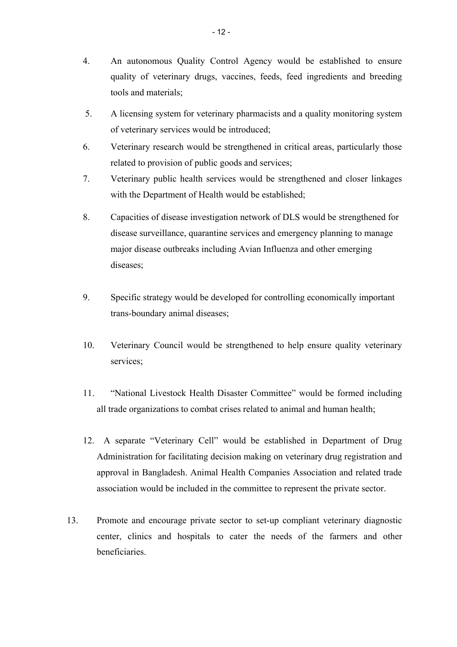- 4. An autonomous Quality Control Agency would be established to ensure quality of veterinary drugs, vaccines, feeds, feed ingredients and breeding tools and materials;
- 5. A licensing system for veterinary pharmacists and a quality monitoring system of veterinary services would be introduced;
- 6. Veterinary research would be strengthened in critical areas, particularly those related to provision of public goods and services;
- 7. Veterinary public health services would be strengthened and closer linkages with the Department of Health would be established;
- 8. Capacities of disease investigation network of DLS would be strengthened for disease surveillance, quarantine services and emergency planning to manage major disease outbreaks including Avian Influenza and other emerging diseases;
- 9. Specific strategy would be developed for controlling economically important trans-boundary animal diseases;
- 10. Veterinary Council would be strengthened to help ensure quality veterinary services;
- 11. "National Livestock Health Disaster Committee" would be formed including all trade organizations to combat crises related to animal and human health;
- 12. A separate "Veterinary Cell" would be established in Department of Drug Administration for facilitating decision making on veterinary drug registration and approval in Bangladesh. Animal Health Companies Association and related trade association would be included in the committee to represent the private sector.
- 13. Promote and encourage private sector to set-up compliant veterinary diagnostic center, clinics and hospitals to cater the needs of the farmers and other beneficiaries.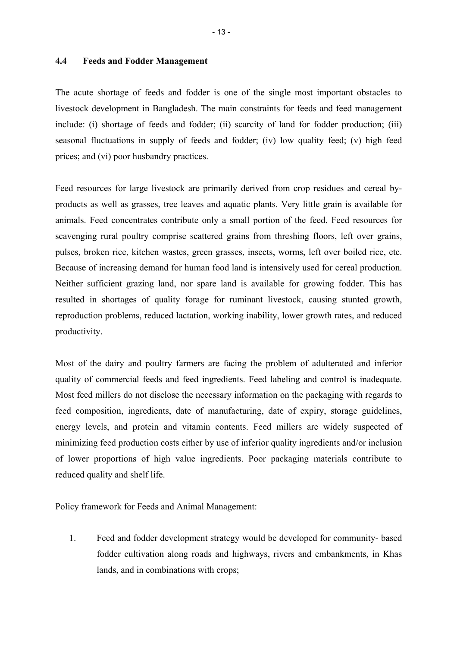#### **4.4 Feeds and Fodder Management**

The acute shortage of feeds and fodder is one of the single most important obstacles to livestock development in Bangladesh. The main constraints for feeds and feed management include: (i) shortage of feeds and fodder; (ii) scarcity of land for fodder production; (iii) seasonal fluctuations in supply of feeds and fodder; (iv) low quality feed; (v) high feed prices; and (vi) poor husbandry practices.

Feed resources for large livestock are primarily derived from crop residues and cereal byproducts as well as grasses, tree leaves and aquatic plants. Very little grain is available for animals. Feed concentrates contribute only a small portion of the feed. Feed resources for scavenging rural poultry comprise scattered grains from threshing floors, left over grains, pulses, broken rice, kitchen wastes, green grasses, insects, worms, left over boiled rice, etc. Because of increasing demand for human food land is intensively used for cereal production. Neither sufficient grazing land, nor spare land is available for growing fodder. This has resulted in shortages of quality forage for ruminant livestock, causing stunted growth, reproduction problems, reduced lactation, working inability, lower growth rates, and reduced productivity.

Most of the dairy and poultry farmers are facing the problem of adulterated and inferior quality of commercial feeds and feed ingredients. Feed labeling and control is inadequate. Most feed millers do not disclose the necessary information on the packaging with regards to feed composition, ingredients, date of manufacturing, date of expiry, storage guidelines, energy levels, and protein and vitamin contents. Feed millers are widely suspected of minimizing feed production costs either by use of inferior quality ingredients and/or inclusion of lower proportions of high value ingredients. Poor packaging materials contribute to reduced quality and shelf life.

Policy framework for Feeds and Animal Management:

1. Feed and fodder development strategy would be developed for community- based fodder cultivation along roads and highways, rivers and embankments, in Khas lands, and in combinations with crops;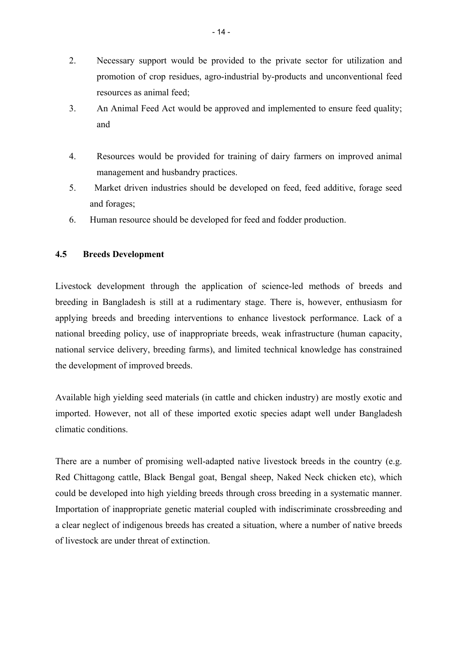- 2. Necessary support would be provided to the private sector for utilization and promotion of crop residues, agro-industrial by-products and unconventional feed resources as animal feed;
- 3. An Animal Feed Act would be approved and implemented to ensure feed quality; and
- 4. Resources would be provided for training of dairy farmers on improved animal management and husbandry practices.
- 5. Market driven industries should be developed on feed, feed additive, forage seed and forages;
- 6. Human resource should be developed for feed and fodder production.

# **4.5 Breeds Development**

Livestock development through the application of science-led methods of breeds and breeding in Bangladesh is still at a rudimentary stage. There is, however, enthusiasm for applying breeds and breeding interventions to enhance livestock performance. Lack of a national breeding policy, use of inappropriate breeds, weak infrastructure (human capacity, national service delivery, breeding farms), and limited technical knowledge has constrained the development of improved breeds.

Available high yielding seed materials (in cattle and chicken industry) are mostly exotic and imported. However, not all of these imported exotic species adapt well under Bangladesh climatic conditions.

There are a number of promising well-adapted native livestock breeds in the country (e.g. Red Chittagong cattle, Black Bengal goat, Bengal sheep, Naked Neck chicken etc), which could be developed into high yielding breeds through cross breeding in a systematic manner. Importation of inappropriate genetic material coupled with indiscriminate crossbreeding and a clear neglect of indigenous breeds has created a situation, where a number of native breeds of livestock are under threat of extinction.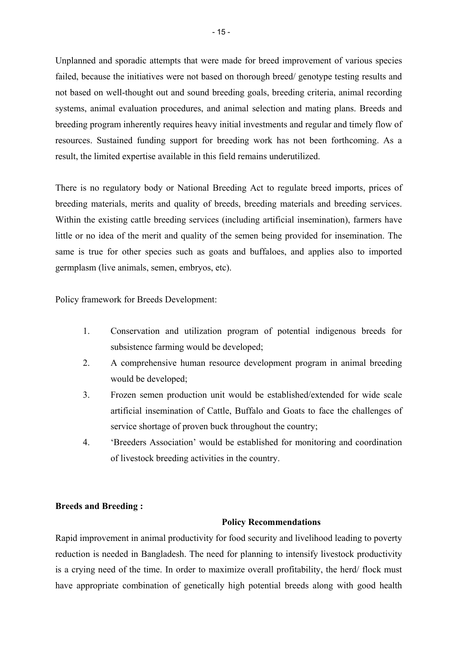Unplanned and sporadic attempts that were made for breed improvement of various species failed, because the initiatives were not based on thorough breed/ genotype testing results and not based on well-thought out and sound breeding goals, breeding criteria, animal recording systems, animal evaluation procedures, and animal selection and mating plans. Breeds and breeding program inherently requires heavy initial investments and regular and timely flow of resources. Sustained funding support for breeding work has not been forthcoming. As a result, the limited expertise available in this field remains underutilized.

There is no regulatory body or National Breeding Act to regulate breed imports, prices of breeding materials, merits and quality of breeds, breeding materials and breeding services. Within the existing cattle breeding services (including artificial insemination), farmers have little or no idea of the merit and quality of the semen being provided for insemination. The same is true for other species such as goats and buffaloes, and applies also to imported germplasm (live animals, semen, embryos, etc).

Policy framework for Breeds Development:

- 1. Conservation and utilization program of potential indigenous breeds for subsistence farming would be developed;
- 2. A comprehensive human resource development program in animal breeding would be developed;
- 3. Frozen semen production unit would be established/extended for wide scale artificial insemination of Cattle, Buffalo and Goats to face the challenges of service shortage of proven buck throughout the country;
- 4. 'Breeders Association' would be established for monitoring and coordination of livestock breeding activities in the country.

# **Breeds and Breeding :**

### **Policy Recommendations**

Rapid improvement in animal productivity for food security and livelihood leading to poverty reduction is needed in Bangladesh. The need for planning to intensify livestock productivity is a crying need of the time. In order to maximize overall profitability, the herd/ flock must have appropriate combination of genetically high potential breeds along with good health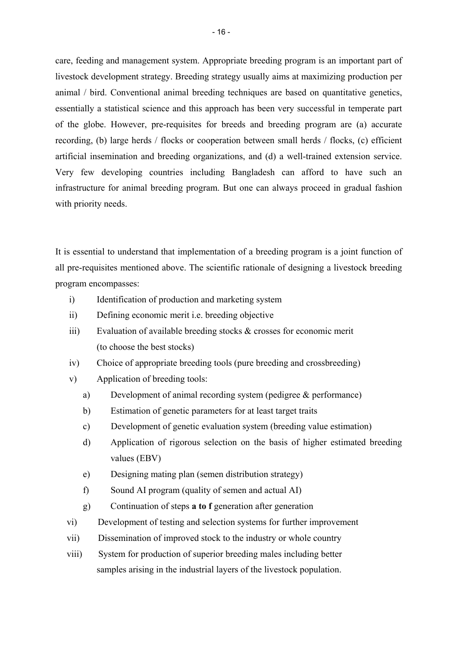care, feeding and management system. Appropriate breeding program is an important part of livestock development strategy. Breeding strategy usually aims at maximizing production per animal / bird. Conventional animal breeding techniques are based on quantitative genetics, essentially a statistical science and this approach has been very successful in temperate part of the globe. However, pre-requisites for breeds and breeding program are (a) accurate recording, (b) large herds / flocks or cooperation between small herds / flocks, (c) efficient artificial insemination and breeding organizations, and (d) a well-trained extension service. Very few developing countries including Bangladesh can afford to have such an infrastructure for animal breeding program. But one can always proceed in gradual fashion with priority needs.

It is essential to understand that implementation of a breeding program is a joint function of all pre-requisites mentioned above. The scientific rationale of designing a livestock breeding program encompasses:

- i) Identification of production and marketing system
- ii) Defining economic merit i.e. breeding objective
- iii) Evaluation of available breeding stocks & crosses for economic merit (to choose the best stocks)
- iv) Choice of appropriate breeding tools (pure breeding and crossbreeding)
- v) Application of breeding tools:
	- a) Development of animal recording system (pedigree & performance)
	- b) Estimation of genetic parameters for at least target traits
	- c) Development of genetic evaluation system (breeding value estimation)
	- d) Application of rigorous selection on the basis of higher estimated breeding values (EBV)
	- e) Designing mating plan (semen distribution strategy)
	- f) Sound AI program (quality of semen and actual AI)
	- g) Continuation of steps **a to f** generation after generation
- vi) Development of testing and selection systems for further improvement
- vii) Dissemination of improved stock to the industry or whole country
- viii) System for production of superior breeding males including better samples arising in the industrial layers of the livestock population.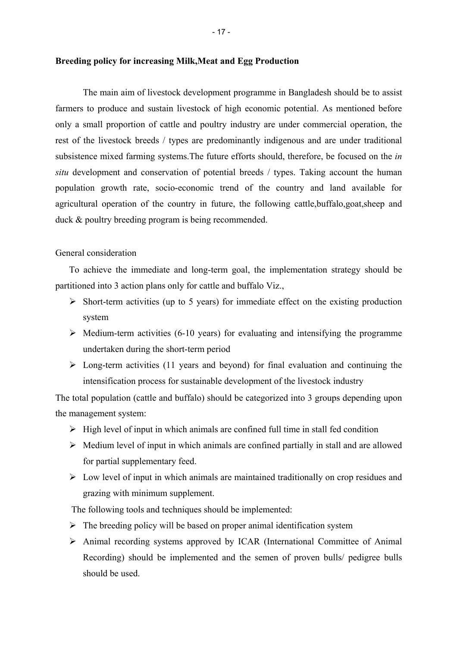The main aim of livestock development programme in Bangladesh should be to assist farmers to produce and sustain livestock of high economic potential. As mentioned before only a small proportion of cattle and poultry industry are under commercial operation, the rest of the livestock breeds / types are predominantly indigenous and are under traditional subsistence mixed farming systems.The future efforts should, therefore, be focused on the *in situ* development and conservation of potential breeds / types. Taking account the human population growth rate, socio-economic trend of the country and land available for agricultural operation of the country in future, the following cattle,buffalo,goat,sheep and duck & poultry breeding program is being recommended.

#### General consideration

To achieve the immediate and long-term goal, the implementation strategy should be partitioned into 3 action plans only for cattle and buffalo Viz.,

- $\triangleright$  Short-term activities (up to 5 years) for immediate effect on the existing production system
- $\triangleright$  Medium-term activities (6-10 years) for evaluating and intensifying the programme undertaken during the short-term period
- $\triangleright$  Long-term activities (11 years and beyond) for final evaluation and continuing the intensification process for sustainable development of the livestock industry

The total population (cattle and buffalo) should be categorized into 3 groups depending upon the management system:

- $\triangleright$  High level of input in which animals are confined full time in stall fed condition
- $\triangleright$  Medium level of input in which animals are confined partially in stall and are allowed for partial supplementary feed.
- $\triangleright$  Low level of input in which animals are maintained traditionally on crop residues and grazing with minimum supplement.

The following tools and techniques should be implemented:

- $\triangleright$  The breeding policy will be based on proper animal identification system
- ¾ Animal recording systems approved by ICAR (International Committee of Animal Recording) should be implemented and the semen of proven bulls/ pedigree bulls should be used.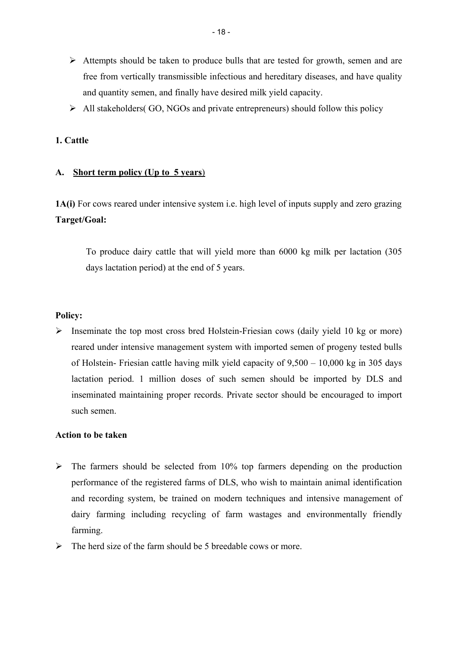- $\triangleright$  Attempts should be taken to produce bulls that are tested for growth, semen and are free from vertically transmissible infectious and hereditary diseases, and have quality and quantity semen, and finally have desired milk yield capacity.
- $\triangleright$  All stakeholders( GO, NGOs and private entrepreneurs) should follow this policy

## **1. Cattle**

### **A. Short term policy (Up to 5 years**)

**1A(i)** For cows reared under intensive system i.e. high level of inputs supply and zero grazing **Target/Goal:** 

To produce dairy cattle that will yield more than 6000 kg milk per lactation (305 days lactation period) at the end of 5 years.

### **Policy:**

 $\triangleright$  Inseminate the top most cross bred Holstein-Friesian cows (daily yield 10 kg or more) reared under intensive management system with imported semen of progeny tested bulls of Holstein- Friesian cattle having milk yield capacity of 9,500 – 10,000 kg in 305 days lactation period. 1 million doses of such semen should be imported by DLS and inseminated maintaining proper records. Private sector should be encouraged to import such semen.

## **Action to be taken**

- $\triangleright$  The farmers should be selected from 10% top farmers depending on the production performance of the registered farms of DLS, who wish to maintain animal identification and recording system, be trained on modern techniques and intensive management of dairy farming including recycling of farm wastages and environmentally friendly farming.
- $\triangleright$  The herd size of the farm should be 5 breedable cows or more.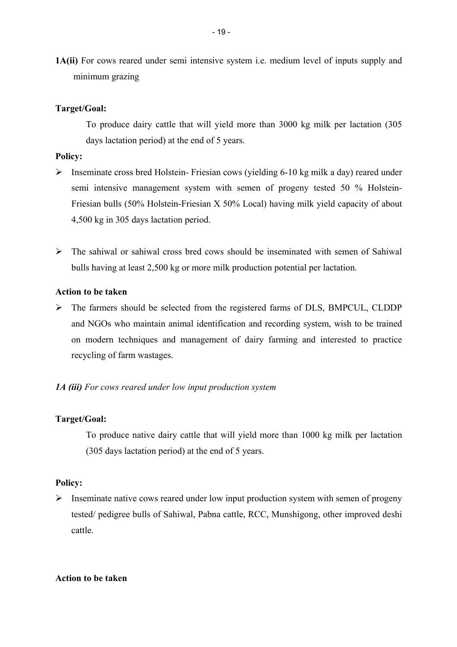**1A(ii)** For cows reared under semi intensive system i.e. medium level of inputs supply and minimum grazing

#### **Target/Goal:**

To produce dairy cattle that will yield more than 3000 kg milk per lactation (305 days lactation period) at the end of 5 years.

### **Policy:**

- ¾ Inseminate cross bred Holstein- Friesian cows (yielding 6-10 kg milk a day) reared under semi intensive management system with semen of progeny tested 50 % Holstein-Friesian bulls (50% Holstein-Friesian X 50% Local) having milk yield capacity of about 4,500 kg in 305 days lactation period.
- $\triangleright$  The sahiwal or sahiwal cross bred cows should be inseminated with semen of Sahiwal bulls having at least 2,500 kg or more milk production potential per lactation.

### **Action to be taken**

¾ The farmers should be selected from the registered farms of DLS, BMPCUL, CLDDP and NGOs who maintain animal identification and recording system, wish to be trained on modern techniques and management of dairy farming and interested to practice recycling of farm wastages.

#### *1A (iii) For cows reared under low input production system*

### **Target/Goal:**

To produce native dairy cattle that will yield more than 1000 kg milk per lactation (305 days lactation period) at the end of 5 years.

#### **Policy:**

 $\triangleright$  Inseminate native cows reared under low input production system with semen of progeny tested/ pedigree bulls of Sahiwal, Pabna cattle, RCC, Munshigong, other improved deshi cattle.

#### **Action to be taken**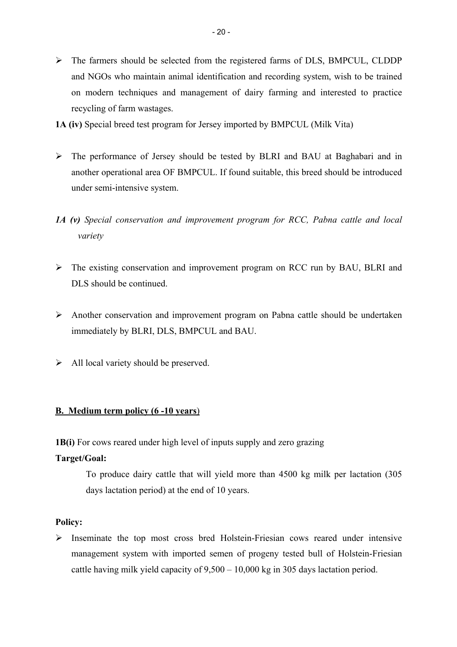- ¾ The farmers should be selected from the registered farms of DLS, BMPCUL, CLDDP and NGOs who maintain animal identification and recording system, wish to be trained on modern techniques and management of dairy farming and interested to practice recycling of farm wastages.
- **1A (iv)** Special breed test program for Jersey imported by BMPCUL (Milk Vita)
- ¾ The performance of Jersey should be tested by BLRI and BAU at Baghabari and in another operational area OF BMPCUL. If found suitable, this breed should be introduced under semi-intensive system.
- *1A (v) Special conservation and improvement program for RCC, Pabna cattle and local variety*
- ¾ The existing conservation and improvement program on RCC run by BAU, BLRI and DLS should be continued.
- ¾ Another conservation and improvement program on Pabna cattle should be undertaken immediately by BLRI, DLS, BMPCUL and BAU.
- $\triangleright$  All local variety should be preserved.

# **B. Medium term policy (6 -10 years**)

**1B(i)** For cows reared under high level of inputs supply and zero grazing

# **Target/Goal:**

To produce dairy cattle that will yield more than 4500 kg milk per lactation (305 days lactation period) at the end of 10 years.

# **Policy:**

¾ Inseminate the top most cross bred Holstein-Friesian cows reared under intensive management system with imported semen of progeny tested bull of Holstein-Friesian cattle having milk yield capacity of 9,500 – 10,000 kg in 305 days lactation period.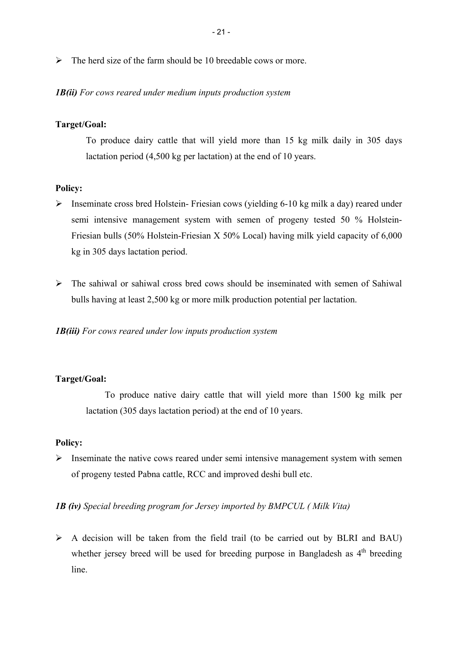$\triangleright$  The herd size of the farm should be 10 breedable cows or more.

### *1B(ii) For cows reared under medium inputs production system*

# **Target/Goal:**

To produce dairy cattle that will yield more than 15 kg milk daily in 305 days lactation period (4,500 kg per lactation) at the end of 10 years.

### **Policy:**

- ¾ Inseminate cross bred Holstein- Friesian cows (yielding 6-10 kg milk a day) reared under semi intensive management system with semen of progeny tested 50 % Holstein-Friesian bulls (50% Holstein-Friesian X 50% Local) having milk yield capacity of 6,000 kg in 305 days lactation period.
- $\triangleright$  The sahiwal or sahiwal cross bred cows should be inseminated with semen of Sahiwal bulls having at least 2,500 kg or more milk production potential per lactation.

*1B(iii) For cows reared under low inputs production system* 

# **Target/Goal:**

To produce native dairy cattle that will yield more than 1500 kg milk per lactation (305 days lactation period) at the end of 10 years.

### **Policy:**

 $\triangleright$  Inseminate the native cows reared under semi intensive management system with semen of progeny tested Pabna cattle, RCC and improved deshi bull etc.

# *1B (iv) Special breeding program for Jersey imported by BMPCUL ( Milk Vita)*

 $\triangleright$  A decision will be taken from the field trail (to be carried out by BLRI and BAU) whether jersey breed will be used for breeding purpose in Bangladesh as  $4<sup>th</sup>$  breeding line.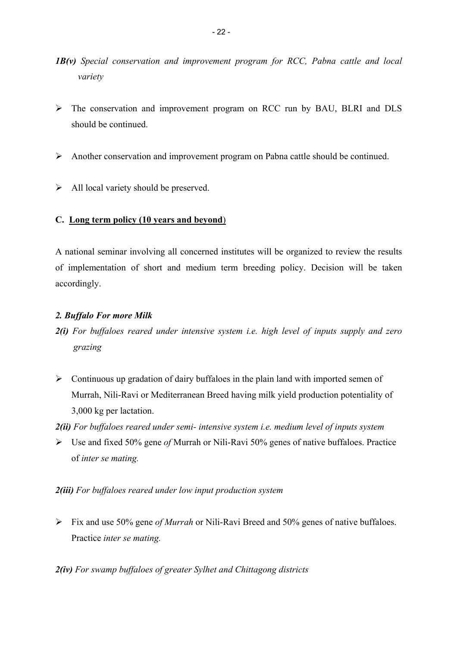- *1B(v) Special conservation and improvement program for RCC, Pabna cattle and local variety*
- ¾ The conservation and improvement program on RCC run by BAU, BLRI and DLS should be continued.
- ¾ Another conservation and improvement program on Pabna cattle should be continued.
- $\triangleright$  All local variety should be preserved.

# **C. Long term policy (10 years and beyond**)

A national seminar involving all concerned institutes will be organized to review the results of implementation of short and medium term breeding policy. Decision will be taken accordingly.

# *2. Buffalo For more Milk*

- *2(i) For buffaloes reared under intensive system i.e. high level of inputs supply and zero grazing*
- $\triangleright$  Continuous up gradation of dairy buffaloes in the plain land with imported semen of Murrah, Nili-Ravi or Mediterranean Breed having milk yield production potentiality of 3,000 kg per lactation.

*2(ii) For buffaloes reared under semi- intensive system i.e. medium level of inputs system* 

¾ Use and fixed 50% gene *of* Murrah or Nili-Ravi 50% genes of native buffaloes. Practice of *inter se mating.* 

# *2(iii) For buffaloes reared under low input production system*

¾ Fix and use 50% gene *of Murrah* or Nili-Ravi Breed and 50% genes of native buffaloes. Practice *inter se mating.*

*2(iv) For swamp buffaloes of greater Sylhet and Chittagong districts*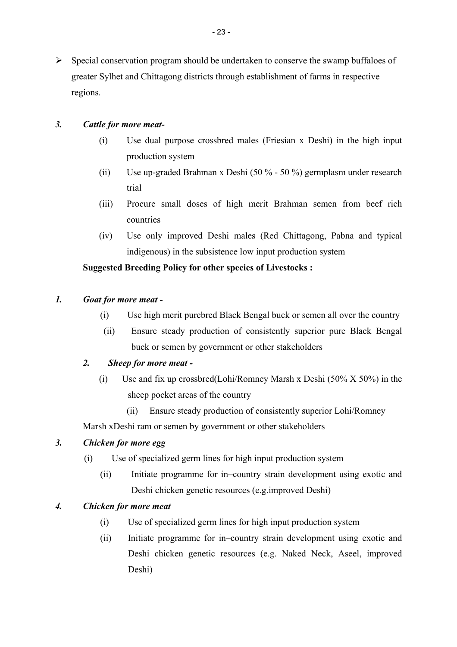# *3. Cattle for more meat-*

- (i) Use dual purpose crossbred males (Friesian x Deshi) in the high input production system
- (ii) Use up-graded Brahman x Deshi (50 % 50 %) germplasm under research trial
- (iii) Procure small doses of high merit Brahman semen from beef rich countries
- (iv) Use only improved Deshi males (Red Chittagong, Pabna and typical indigenous) in the subsistence low input production system

# **Suggested Breeding Policy for other species of Livestocks :**

# *1. Goat for more meat -*

- (i) Use high merit purebred Black Bengal buck or semen all over the country
- (ii) Ensure steady production of consistently superior pure Black Bengal buck or semen by government or other stakeholders

# *2. Sheep for more meat -*

- (i) Use and fix up crossbred(Lohi/Romney Marsh x Deshi (50% X 50%) in the sheep pocket areas of the country
	- (ii) Ensure steady production of consistently superior Lohi/Romney

Marsh xDeshi ram or semen by government or other stakeholders

# *3. Chicken for more egg*

- (i) Use of specialized germ lines for high input production system
	- (ii) Initiate programme for in–country strain development using exotic and Deshi chicken genetic resources (e.g.improved Deshi)

# *4. Chicken for more meat*

- (i) Use of specialized germ lines for high input production system
- (ii) Initiate programme for in–country strain development using exotic and Deshi chicken genetic resources (e.g. Naked Neck, Aseel, improved Deshi)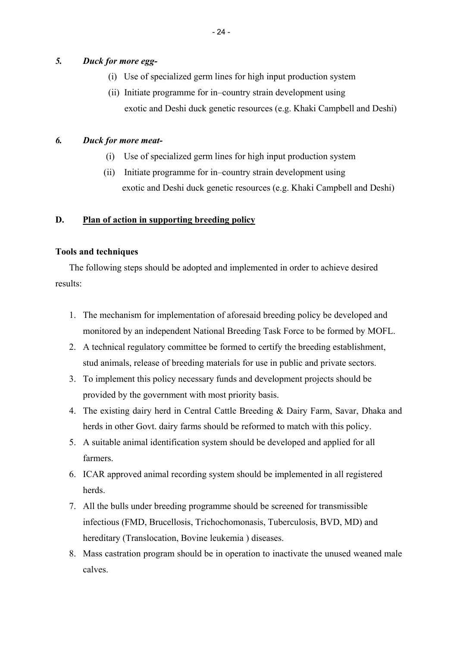# *5. Duck for more egg-*

- (i) Use of specialized germ lines for high input production system
- (ii) Initiate programme for in–country strain development using exotic and Deshi duck genetic resources (e.g. Khaki Campbell and Deshi)

### *6. Duck for more meat-*

- (i) Use of specialized germ lines for high input production system
- (ii) Initiate programme for in–country strain development using exotic and Deshi duck genetic resources (e.g. Khaki Campbell and Deshi)

### **D. Plan of action in supporting breeding policy**

### **Tools and techniques**

The following steps should be adopted and implemented in order to achieve desired results:

- 1. The mechanism for implementation of aforesaid breeding policy be developed and monitored by an independent National Breeding Task Force to be formed by MOFL.
- 2. A technical regulatory committee be formed to certify the breeding establishment, stud animals, release of breeding materials for use in public and private sectors.
- 3. To implement this policy necessary funds and development projects should be provided by the government with most priority basis.
- 4. The existing dairy herd in Central Cattle Breeding & Dairy Farm, Savar, Dhaka and herds in other Govt. dairy farms should be reformed to match with this policy.
- 5. A suitable animal identification system should be developed and applied for all farmers.
- 6. ICAR approved animal recording system should be implemented in all registered herds.
- 7. All the bulls under breeding programme should be screened for transmissible infectious (FMD, Brucellosis, Trichochomonasis, Tuberculosis, BVD, MD) and hereditary (Translocation, Bovine leukemia ) diseases.
- 8. Mass castration program should be in operation to inactivate the unused weaned male calves.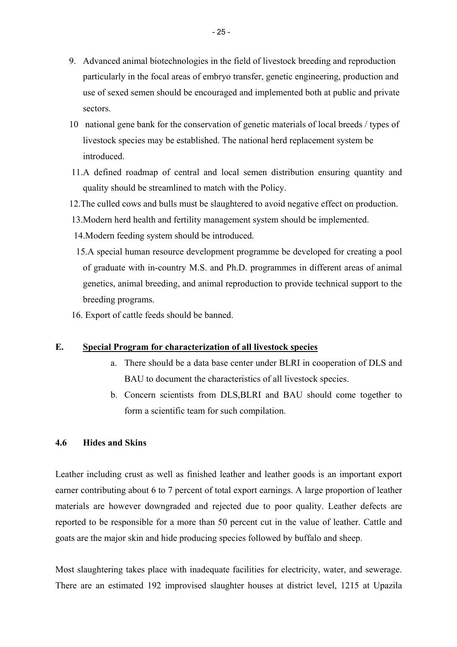- 9. Advanced animal biotechnologies in the field of livestock breeding and reproduction particularly in the focal areas of embryo transfer, genetic engineering, production and use of sexed semen should be encouraged and implemented both at public and private sectors.
- 10 national gene bank for the conservation of genetic materials of local breeds / types of livestock species may be established. The national herd replacement system be introduced.
- 11.A defined roadmap of central and local semen distribution ensuring quantity and quality should be streamlined to match with the Policy.
- 12.The culled cows and bulls must be slaughtered to avoid negative effect on production.
- 13.Modern herd health and fertility management system should be implemented.
- 14.Modern feeding system should be introduced.
- 15.A special human resource development programme be developed for creating a pool of graduate with in-country M.S. and Ph.D. programmes in different areas of animal genetics, animal breeding, and animal reproduction to provide technical support to the breeding programs.
- 16. Export of cattle feeds should be banned.

### **E. Special Program for characterization of all livestock species**

- a. There should be a data base center under BLRI in cooperation of DLS and BAU to document the characteristics of all livestock species.
- b. Concern scientists from DLS,BLRI and BAU should come together to form a scientific team for such compilation.

### **4.6 Hides and Skins**

Leather including crust as well as finished leather and leather goods is an important export earner contributing about 6 to 7 percent of total export earnings. A large proportion of leather materials are however downgraded and rejected due to poor quality. Leather defects are reported to be responsible for a more than 50 percent cut in the value of leather. Cattle and goats are the major skin and hide producing species followed by buffalo and sheep.

Most slaughtering takes place with inadequate facilities for electricity, water, and sewerage. There are an estimated 192 improvised slaughter houses at district level, 1215 at Upazila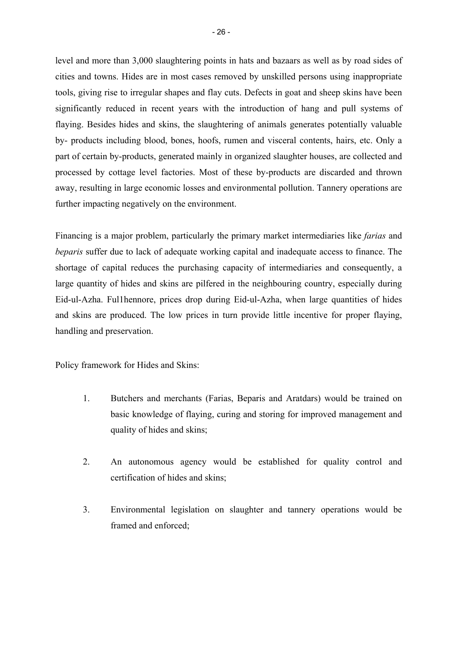level and more than 3,000 slaughtering points in hats and bazaars as well as by road sides of cities and towns. Hides are in most cases removed by unskilled persons using inappropriate tools, giving rise to irregular shapes and flay cuts. Defects in goat and sheep skins have been significantly reduced in recent years with the introduction of hang and pull systems of flaying. Besides hides and skins, the slaughtering of animals generates potentially valuable by- products including blood, bones, hoofs, rumen and visceral contents, hairs, etc. Only a part of certain by-products, generated mainly in organized slaughter houses, are collected and processed by cottage level factories. Most of these by-products are discarded and thrown away, resulting in large economic losses and environmental pollution. Tannery operations are further impacting negatively on the environment.

Financing is a major problem, particularly the primary market intermediaries like *farias* and *beparis* suffer due to lack of adequate working capital and inadequate access to finance. The shortage of capital reduces the purchasing capacity of intermediaries and consequently, a large quantity of hides and skins are pilfered in the neighbouring country, especially during Eid-ul-Azha. Ful1hennore, prices drop during Eid-ul-Azha, when large quantities of hides and skins are produced. The low prices in turn provide little incentive for proper flaying, handling and preservation.

Policy framework for Hides and Skins:

- 1. Butchers and merchants (Farias, Beparis and Aratdars) would be trained on basic knowledge of flaying, curing and storing for improved management and quality of hides and skins;
- 2. An autonomous agency would be established for quality control and certification of hides and skins;
- 3. Environmental legislation on slaughter and tannery operations would be framed and enforced;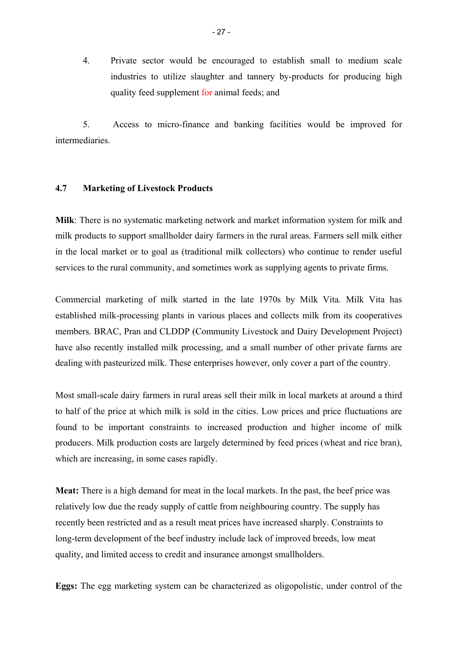4. Private sector would be encouraged to establish small to medium scale industries to utilize slaughter and tannery by-products for producing high quality feed supplement for animal feeds; and

5. Access to micro-finance and banking facilities would be improved for intermediaries.

#### **4.7 Marketing of Livestock Products**

**Milk**: There is no systematic marketing network and market information system for milk and milk products to support smallholder dairy farmers in the rural areas. Farmers sell milk either in the local market or to goal as (traditional milk collectors) who continue to render useful services to the rural community, and sometimes work as supplying agents to private firms.

Commercial marketing of milk started in the late 1970s by Milk Vita. Milk Vita has established milk-processing plants in various places and collects milk from its cooperatives members. BRAC, Pran and CLDDP (Community Livestock and Dairy Development Project) have also recently installed milk processing, and a small number of other private farms are dealing with pasteurized milk. These enterprises however, only cover a part of the country.

Most small-scale dairy farmers in rural areas sell their milk in local markets at around a third to half of the price at which milk is sold in the cities. Low prices and price fluctuations are found to be important constraints to increased production and higher income of milk producers. Milk production costs are largely determined by feed prices (wheat and rice bran), which are increasing, in some cases rapidly.

**Meat:** There is a high demand for meat in the local markets. In the past, the beef price was relatively low due the ready supply of cattle from neighbouring country. The supply has recently been restricted and as a result meat prices have increased sharply. Constraints to long-term development of the beef industry include lack of improved breeds, low meat quality, and limited access to credit and insurance amongst smallholders.

**Eggs:** The egg marketing system can be characterized as oligopolistic, under control of the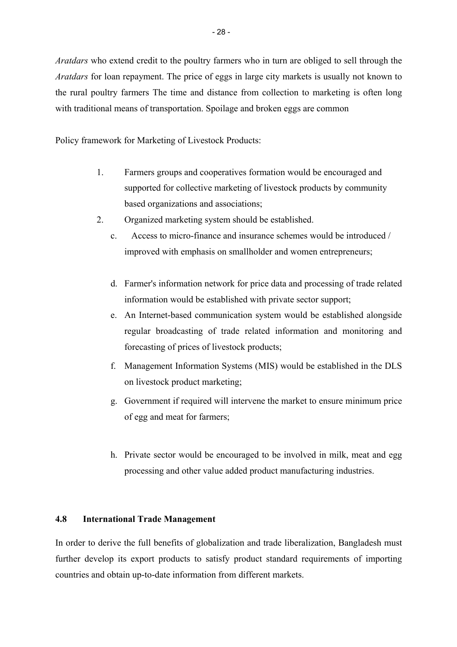*Aratdars* who extend credit to the poultry farmers who in turn are obliged to sell through the *Aratdars* for loan repayment. The price of eggs in large city markets is usually not known to the rural poultry farmers The time and distance from collection to marketing is often long with traditional means of transportation. Spoilage and broken eggs are common

Policy framework for Marketing of Livestock Products:

- 1. Farmers groups and cooperatives formation would be encouraged and supported for collective marketing of livestock products by community based organizations and associations;
- 2. Organized marketing system should be established.
	- c. Access to micro-finance and insurance schemes would be introduced / improved with emphasis on smallholder and women entrepreneurs;
	- d. Farmer's information network for price data and processing of trade related information would be established with private sector support;
	- e. An Internet-based communication system would be established alongside regular broadcasting of trade related information and monitoring and forecasting of prices of livestock products;
	- f. Management Information Systems (MIS) would be established in the DLS on livestock product marketing;
	- g. Government if required will intervene the market to ensure minimum price of egg and meat for farmers;
	- h. Private sector would be encouraged to be involved in milk, meat and egg processing and other value added product manufacturing industries.

# **4.8 International Trade Management**

In order to derive the full benefits of globalization and trade liberalization, Bangladesh must further develop its export products to satisfy product standard requirements of importing countries and obtain up-to-date information from different markets.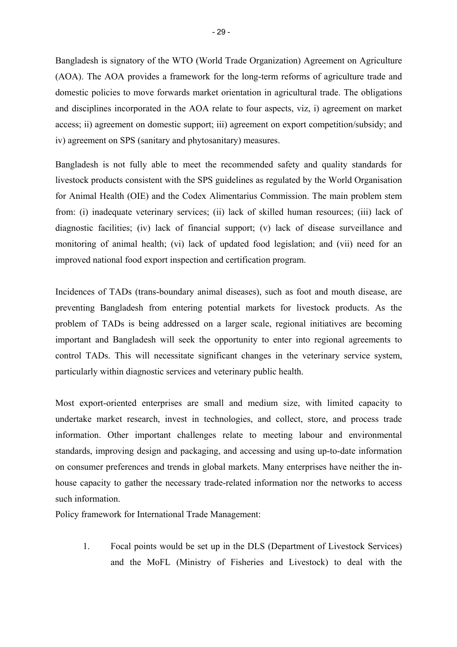Bangladesh is signatory of the WTO (World Trade Organization) Agreement on Agriculture (AOA). The AOA provides a framework for the long-term reforms of agriculture trade and domestic policies to move forwards market orientation in agricultural trade. The obligations and disciplines incorporated in the AOA relate to four aspects, viz, i) agreement on market access; ii) agreement on domestic support; iii) agreement on export competition/subsidy; and iv) agreement on SPS (sanitary and phytosanitary) measures.

Bangladesh is not fully able to meet the recommended safety and quality standards for livestock products consistent with the SPS guidelines as regulated by the World Organisation for Animal Health (OIE) and the Codex Alimentarius Commission. The main problem stem from: (i) inadequate veterinary services; (ii) lack of skilled human resources; (iii) lack of diagnostic facilities; (iv) lack of financial support; (v) lack of disease surveillance and monitoring of animal health; (vi) lack of updated food legislation; and (vii) need for an improved national food export inspection and certification program.

Incidences of TADs (trans-boundary animal diseases), such as foot and mouth disease, are preventing Bangladesh from entering potential markets for livestock products. As the problem of TADs is being addressed on a larger scale, regional initiatives are becoming important and Bangladesh will seek the opportunity to enter into regional agreements to control TADs. This will necessitate significant changes in the veterinary service system, particularly within diagnostic services and veterinary public health.

Most export-oriented enterprises are small and medium size, with limited capacity to undertake market research, invest in technologies, and collect, store, and process trade information. Other important challenges relate to meeting labour and environmental standards, improving design and packaging, and accessing and using up-to-date information on consumer preferences and trends in global markets. Many enterprises have neither the inhouse capacity to gather the necessary trade-related information nor the networks to access such information.

Policy framework for International Trade Management:

1. Focal points would be set up in the DLS (Department of Livestock Services) and the MoFL (Ministry of Fisheries and Livestock) to deal with the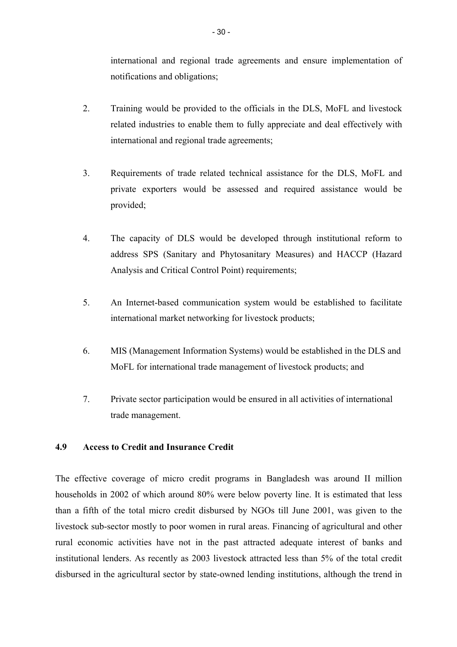international and regional trade agreements and ensure implementation of notifications and obligations;

- 2. Training would be provided to the officials in the DLS, MoFL and livestock related industries to enable them to fully appreciate and deal effectively with international and regional trade agreements;
- 3. Requirements of trade related technical assistance for the DLS, MoFL and private exporters would be assessed and required assistance would be provided;
- 4. The capacity of DLS would be developed through institutional reform to address SPS (Sanitary and Phytosanitary Measures) and HACCP (Hazard Analysis and Critical Control Point) requirements;
- 5. An Internet-based communication system would be established to facilitate international market networking for livestock products;
- 6. MIS (Management Information Systems) would be established in the DLS and MoFL for international trade management of livestock products; and
- 7. Private sector participation would be ensured in all activities of international trade management.

# **4.9 Access to Credit and Insurance Credit**

The effective coverage of micro credit programs in Bangladesh was around II million households in 2002 of which around 80% were below poverty line. It is estimated that less than a fifth of the total micro credit disbursed by NGOs till June 2001, was given to the livestock sub-sector mostly to poor women in rural areas. Financing of agricultural and other rural economic activities have not in the past attracted adequate interest of banks and institutional lenders. As recently as 2003 livestock attracted less than 5% of the total credit disbursed in the agricultural sector by state-owned lending institutions, although the trend in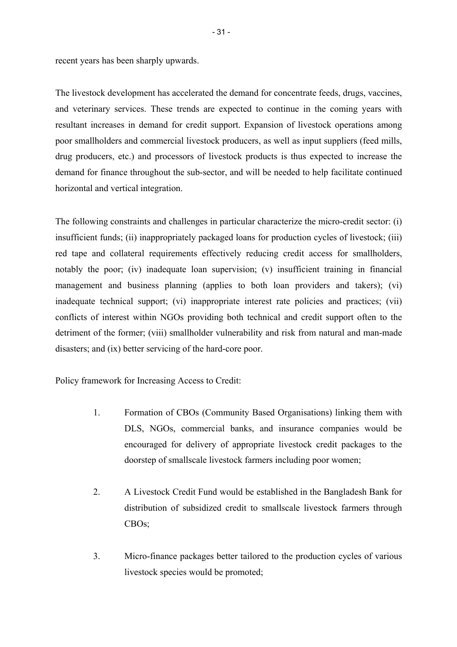recent years has been sharply upwards.

The livestock development has accelerated the demand for concentrate feeds, drugs, vaccines, and veterinary services. These trends are expected to continue in the coming years with resultant increases in demand for credit support. Expansion of livestock operations among poor smallholders and commercial livestock producers, as well as input suppliers (feed mills, drug producers, etc.) and processors of livestock products is thus expected to increase the demand for finance throughout the sub-sector, and will be needed to help facilitate continued horizontal and vertical integration.

The following constraints and challenges in particular characterize the micro-credit sector: (i) insufficient funds; (ii) inappropriately packaged loans for production cycles of livestock; (iii) red tape and collateral requirements effectively reducing credit access for smallholders, notably the poor; (iv) inadequate loan supervision; (v) insufficient training in financial management and business planning (applies to both loan providers and takers); (vi) inadequate technical support; (vi) inappropriate interest rate policies and practices; (vii) conflicts of interest within NGOs providing both technical and credit support often to the detriment of the former; (viii) smallholder vulnerability and risk from natural and man-made disasters; and (ix) better servicing of the hard-core poor.

Policy framework for Increasing Access to Credit:

- 1. Formation of CBOs (Community Based Organisations) linking them with DLS, NGOs, commercial banks, and insurance companies would be encouraged for delivery of appropriate livestock credit packages to the doorstep of smallscale livestock farmers including poor women;
- 2. A Livestock Credit Fund would be established in the Bangladesh Bank for distribution of subsidized credit to smallscale livestock farmers through CBOs;
- 3. Micro-finance packages better tailored to the production cycles of various livestock species would be promoted;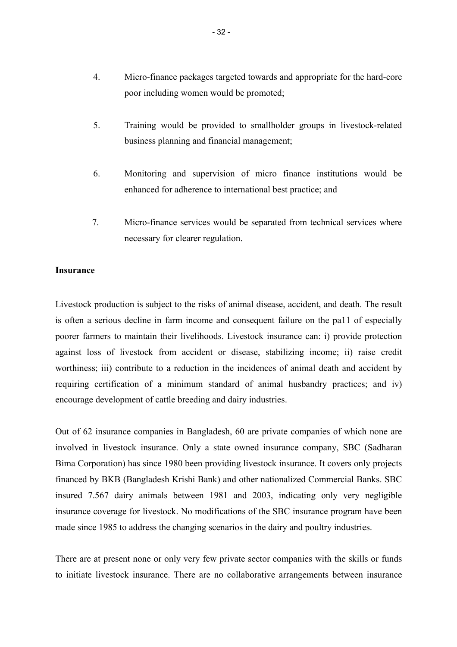- 4. Micro-finance packages targeted towards and appropriate for the hard-core poor including women would be promoted;
- 5. Training would be provided to smallholder groups in livestock-related business planning and financial management;
- 6. Monitoring and supervision of micro finance institutions would be enhanced for adherence to international best practice; and
- 7. Micro-finance services would be separated from technical services where necessary for clearer regulation.

#### **Insurance**

Livestock production is subject to the risks of animal disease, accident, and death. The result is often a serious decline in farm income and consequent failure on the pa11 of especially poorer farmers to maintain their livelihoods. Livestock insurance can: i) provide protection against loss of livestock from accident or disease, stabilizing income; ii) raise credit worthiness; iii) contribute to a reduction in the incidences of animal death and accident by requiring certification of a minimum standard of animal husbandry practices; and iv) encourage development of cattle breeding and dairy industries.

Out of 62 insurance companies in Bangladesh, 60 are private companies of which none are involved in livestock insurance. Only a state owned insurance company, SBC (Sadharan Bima Corporation) has since 1980 been providing livestock insurance. It covers only projects financed by BKB (Bangladesh Krishi Bank) and other nationalized Commercial Banks. SBC insured 7.567 dairy animals between 1981 and 2003, indicating only very negligible insurance coverage for livestock. No modifications of the SBC insurance program have been made since 1985 to address the changing scenarios in the dairy and poultry industries.

There are at present none or only very few private sector companies with the skills or funds to initiate livestock insurance. There are no collaborative arrangements between insurance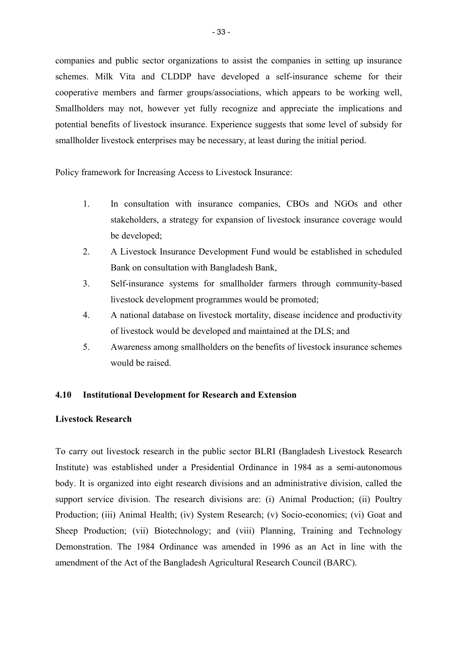companies and public sector organizations to assist the companies in setting up insurance schemes. Milk Vita and CLDDP have developed a self-insurance scheme for their cooperative members and farmer groups/associations, which appears to be working well, Smallholders may not, however yet fully recognize and appreciate the implications and potential benefits of livestock insurance. Experience suggests that some level of subsidy for smallholder livestock enterprises may be necessary, at least during the initial period.

Policy framework for Increasing Access to Livestock Insurance:

- 1. In consultation with insurance companies, CBOs and NGOs and other stakeholders, a strategy for expansion of livestock insurance coverage would be developed;
- 2. A Livestock Insurance Development Fund would be established in scheduled Bank on consultation with Bangladesh Bank,
- 3. Self-insurance systems for smallholder farmers through community-based livestock development programmes would be promoted;
- 4. A national database on livestock mortality, disease incidence and productivity of livestock would be developed and maintained at the DLS; and
- 5. Awareness among smallholders on the benefits of livestock insurance schemes would be raised.

### **4.10 Institutional Development for Research and Extension**

### **Livestock Research**

To carry out livestock research in the public sector BLRI (Bangladesh Livestock Research Institute) was established under a Presidential Ordinance in 1984 as a semi-autonomous body. It is organized into eight research divisions and an administrative division, called the support service division. The research divisions are: (i) Animal Production; (ii) Poultry Production; (iii) Animal Health; (iv) System Research; (v) Socio-economics; (vi) Goat and Sheep Production; (vii) Biotechnology; and (viii) Planning, Training and Technology Demonstration. The 1984 Ordinance was amended in 1996 as an Act in line with the amendment of the Act of the Bangladesh Agricultural Research Council (BARC).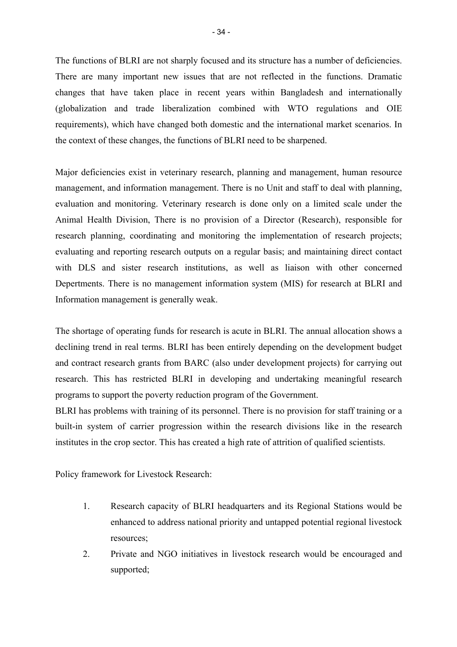The functions of BLRI are not sharply focused and its structure has a number of deficiencies. There are many important new issues that are not reflected in the functions. Dramatic changes that have taken place in recent years within Bangladesh and internationally (globalization and trade liberalization combined with WTO regulations and OIE requirements), which have changed both domestic and the international market scenarios. In the context of these changes, the functions of BLRI need to be sharpened.

Major deficiencies exist in veterinary research, planning and management, human resource management, and information management. There is no Unit and staff to deal with planning, evaluation and monitoring. Veterinary research is done only on a limited scale under the Animal Health Division, There is no provision of a Director (Research), responsible for research planning, coordinating and monitoring the implementation of research projects; evaluating and reporting research outputs on a regular basis; and maintaining direct contact with DLS and sister research institutions, as well as liaison with other concerned Depertments. There is no management information system (MIS) for research at BLRI and Information management is generally weak.

The shortage of operating funds for research is acute in BLRI. The annual allocation shows a declining trend in real terms. BLRI has been entirely depending on the development budget and contract research grants from BARC (also under development projects) for carrying out research. This has restricted BLRI in developing and undertaking meaningful research programs to support the poverty reduction program of the Government.

BLRI has problems with training of its personnel. There is no provision for staff training or a built-in system of carrier progression within the research divisions like in the research institutes in the crop sector. This has created a high rate of attrition of qualified scientists.

Policy framework for Livestock Research:

- 1. Research capacity of BLRI headquarters and its Regional Stations would be enhanced to address national priority and untapped potential regional livestock resources;
- 2. Private and NGO initiatives in livestock research would be encouraged and supported;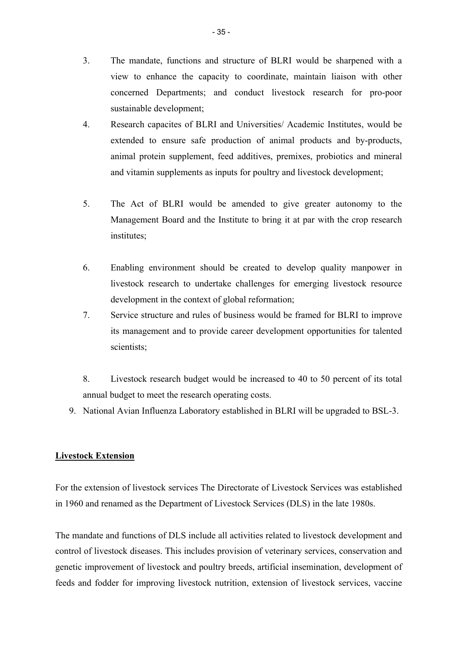- 3. The mandate, functions and structure of BLRI would be sharpened with a view to enhance the capacity to coordinate, maintain liaison with other concerned Departments; and conduct livestock research for pro-poor sustainable development;
- 4. Research capacites of BLRI and Universities/ Academic Institutes, would be extended to ensure safe production of animal products and by-products, animal protein supplement, feed additives, premixes, probiotics and mineral and vitamin supplements as inputs for poultry and livestock development;
- 5. The Act of BLRI would be amended to give greater autonomy to the Management Board and the Institute to bring it at par with the crop research institutes:
- 6. Enabling environment should be created to develop quality manpower in livestock research to undertake challenges for emerging livestock resource development in the context of global reformation;
- 7. Service structure and rules of business would be framed for BLRI to improve its management and to provide career development opportunities for talented scientists;
- 8. Livestock research budget would be increased to 40 to 50 percent of its total annual budget to meet the research operating costs.
- 9. National Avian Influenza Laboratory established in BLRI will be upgraded to BSL-3.

# **Livestock Extension**

For the extension of livestock services The Directorate of Livestock Services was established in 1960 and renamed as the Department of Livestock Services (DLS) in the late 1980s.

The mandate and functions of DLS include all activities related to livestock development and control of livestock diseases. This includes provision of veterinary services, conservation and genetic improvement of livestock and poultry breeds, artificial insemination, development of feeds and fodder for improving livestock nutrition, extension of livestock services, vaccine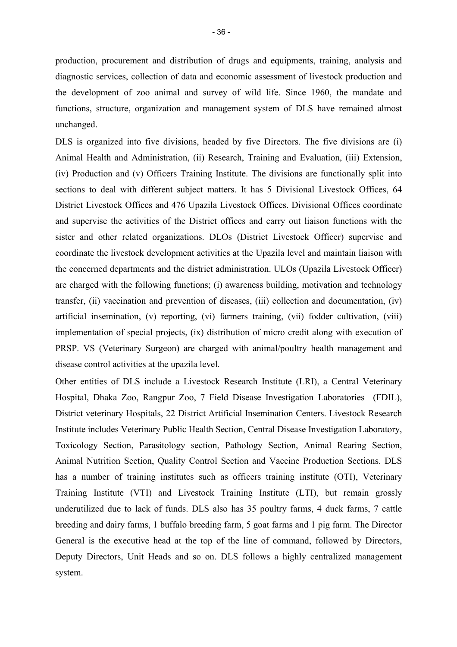production, procurement and distribution of drugs and equipments, training, analysis and diagnostic services, collection of data and economic assessment of livestock production and the development of zoo animal and survey of wild life. Since 1960, the mandate and functions, structure, organization and management system of DLS have remained almost unchanged.

DLS is organized into five divisions, headed by five Directors. The five divisions are (i) Animal Health and Administration, (ii) Research, Training and Evaluation, (iii) Extension, (iv) Production and (v) Officers Training Institute. The divisions are functionally split into sections to deal with different subject matters. It has 5 Divisional Livestock Offices, 64 District Livestock Offices and 476 Upazila Livestock Offices. Divisional Offices coordinate and supervise the activities of the District offices and carry out liaison functions with the sister and other related organizations. DLOs (District Livestock Officer) supervise and coordinate the livestock development activities at the Upazila level and maintain liaison with the concerned departments and the district administration. ULOs (Upazila Livestock Officer) are charged with the following functions; (i) awareness building, motivation and technology transfer, (ii) vaccination and prevention of diseases, (iii) collection and documentation, (iv) artificial insemination, (v) reporting, (vi) farmers training, (vii) fodder cultivation, (viii) implementation of special projects, (ix) distribution of micro credit along with execution of PRSP. VS (Veterinary Surgeon) are charged with animal/poultry health management and disease control activities at the upazila level.

Other entities of DLS include a Livestock Research Institute (LRI), a Central Veterinary Hospital, Dhaka Zoo, Rangpur Zoo, 7 Field Disease Investigation Laboratories (FDIL), District veterinary Hospitals, 22 District Artificial Insemination Centers. Livestock Research Institute includes Veterinary Public Health Section, Central Disease Investigation Laboratory, Toxicology Section, Parasitology section, Pathology Section, Animal Rearing Section, Animal Nutrition Section, Quality Control Section and Vaccine Production Sections. DLS has a number of training institutes such as officers training institute (OTI), Veterinary Training Institute (VTI) and Livestock Training Institute (LTI), but remain grossly underutilized due to lack of funds. DLS also has 35 poultry farms, 4 duck farms, 7 cattle breeding and dairy farms, 1 buffalo breeding farm, 5 goat farms and 1 pig farm. The Director General is the executive head at the top of the line of command, followed by Directors, Deputy Directors, Unit Heads and so on. DLS follows a highly centralized management system.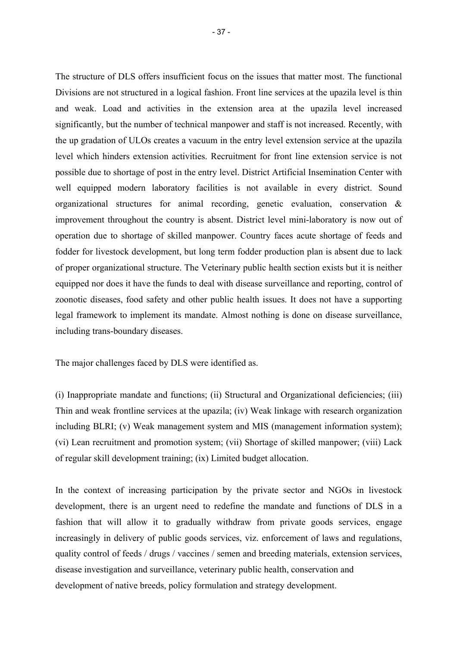The structure of DLS offers insufficient focus on the issues that matter most. The functional Divisions are not structured in a logical fashion. Front line services at the upazila level is thin and weak. Load and activities in the extension area at the upazila level increased significantly, but the number of technical manpower and staff is not increased. Recently, with the up gradation of ULOs creates a vacuum in the entry level extension service at the upazila level which hinders extension activities. Recruitment for front line extension service is not possible due to shortage of post in the entry level. District Artificial Insemination Center with well equipped modern laboratory facilities is not available in every district. Sound organizational structures for animal recording, genetic evaluation, conservation & improvement throughout the country is absent. District level mini-laboratory is now out of operation due to shortage of skilled manpower. Country faces acute shortage of feeds and fodder for livestock development, but long term fodder production plan is absent due to lack of proper organizational structure. The Veterinary public health section exists but it is neither equipped nor does it have the funds to deal with disease surveillance and reporting, control of zoonotic diseases, food safety and other public health issues. It does not have a supporting legal framework to implement its mandate. Almost nothing is done on disease surveillance, including trans-boundary diseases.

The major challenges faced by DLS were identified as.

(i) Inappropriate mandate and functions; (ii) Structural and Organizational deficiencies; (iii) Thin and weak frontline services at the upazila; (iv) Weak linkage with research organization including BLRI; (v) Weak management system and MIS (management information system); (vi) Lean recruitment and promotion system; (vii) Shortage of skilled manpower; (viii) Lack of regular skill development training; (ix) Limited budget allocation.

In the context of increasing participation by the private sector and NGOs in livestock development, there is an urgent need to redefine the mandate and functions of DLS in a fashion that will allow it to gradually withdraw from private goods services, engage increasingly in delivery of public goods services, viz. enforcement of laws and regulations, quality control of feeds / drugs / vaccines / semen and breeding materials, extension services, disease investigation and surveillance, veterinary public health, conservation and development of native breeds, policy formulation and strategy development.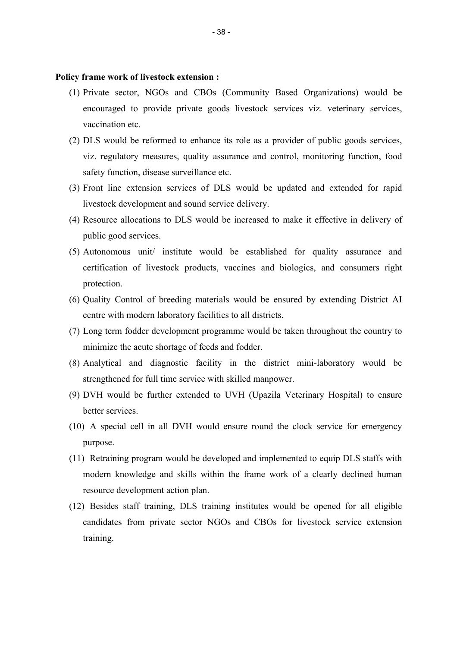**Policy frame work of livestock extension :**

- (1) Private sector, NGOs and CBOs (Community Based Organizations) would be encouraged to provide private goods livestock services viz. veterinary services, vaccination etc.
- (2) DLS would be reformed to enhance its role as a provider of public goods services, viz. regulatory measures, quality assurance and control, monitoring function, food safety function, disease surveillance etc.
- (3) Front line extension services of DLS would be updated and extended for rapid livestock development and sound service delivery.
- (4) Resource allocations to DLS would be increased to make it effective in delivery of public good services.
- (5) Autonomous unit/ institute would be established for quality assurance and certification of livestock products, vaccines and biologics, and consumers right protection.
- (6) Quality Control of breeding materials would be ensured by extending District AI centre with modern laboratory facilities to all districts.
- (7) Long term fodder development programme would be taken throughout the country to minimize the acute shortage of feeds and fodder.
- (8) Analytical and diagnostic facility in the district mini-laboratory would be strengthened for full time service with skilled manpower.
- (9) DVH would be further extended to UVH (Upazila Veterinary Hospital) to ensure better services.
- (10) A special cell in all DVH would ensure round the clock service for emergency purpose.
- (11) Retraining program would be developed and implemented to equip DLS staffs with modern knowledge and skills within the frame work of a clearly declined human resource development action plan.
- (12) Besides staff training, DLS training institutes would be opened for all eligible candidates from private sector NGOs and CBOs for livestock service extension training.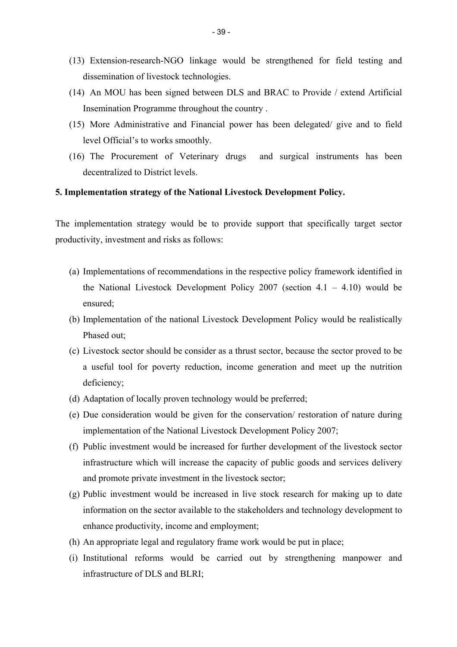- (13) Extension-research-NGO linkage would be strengthened for field testing and dissemination of livestock technologies.
- (14) An MOU has been signed between DLS and BRAC to Provide / extend Artificial Insemination Programme throughout the country .
- (15) More Administrative and Financial power has been delegated/ give and to field level Official's to works smoothly.
- (16) The Procurement of Veterinary drugs and surgical instruments has been decentralized to District levels.

#### **5. Implementation strategy of the National Livestock Development Policy.**

The implementation strategy would be to provide support that specifically target sector productivity, investment and risks as follows:

- (a) Implementations of recommendations in the respective policy framework identified in the National Livestock Development Policy 2007 (section  $4.1 - 4.10$ ) would be ensured;
- (b) Implementation of the national Livestock Development Policy would be realistically Phased out;
- (c) Livestock sector should be consider as a thrust sector, because the sector proved to be a useful tool for poverty reduction, income generation and meet up the nutrition deficiency;
- (d) Adaptation of locally proven technology would be preferred;
- (e) Due consideration would be given for the conservation/ restoration of nature during implementation of the National Livestock Development Policy 2007;
- (f) Public investment would be increased for further development of the livestock sector infrastructure which will increase the capacity of public goods and services delivery and promote private investment in the livestock sector;
- (g) Public investment would be increased in live stock research for making up to date information on the sector available to the stakeholders and technology development to enhance productivity, income and employment;
- (h) An appropriate legal and regulatory frame work would be put in place;
- (i) Institutional reforms would be carried out by strengthening manpower and infrastructure of DLS and BLRI;